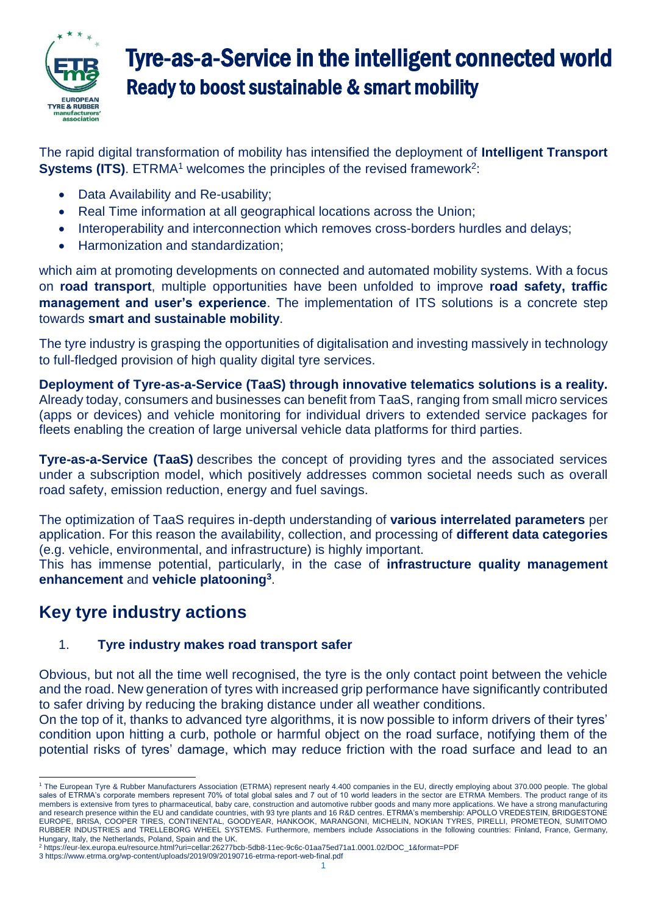

# Tyre-as-a-Service in the intelligent connected world Ready to boost sustainable & smart mobility

The rapid digital transformation of mobility has intensified the deployment of **Intelligent Transport Systems (ITS)**. ETRMA<sup>1</sup> welcomes the principles of the revised framework<sup>2</sup>:

- Data Availability and Re-usability;
- Real Time information at all geographical locations across the Union;
- Interoperability and interconnection which removes cross-borders hurdles and delays;
- Harmonization and standardization;

which aim at promoting developments on connected and automated mobility systems. With a focus on **road transport**, multiple opportunities have been unfolded to improve **road safety, traffic management and user's experience**. The implementation of ITS solutions is a concrete step towards **smart and sustainable mobility**.

The tyre industry is grasping the opportunities of digitalisation and investing massively in technology to full-fledged provision of high quality digital tyre services.

**Deployment of Tyre-as-a-Service (TaaS) through innovative telematics solutions is a reality.** Already today, consumers and businesses can benefit from TaaS, ranging from small micro services (apps or devices) and vehicle monitoring for individual drivers to extended service packages for fleets enabling the creation of large universal vehicle data platforms for third parties.

**Tyre-as-a-Service (TaaS)** describes the concept of providing tyres and the associated services under a subscription model, which positively addresses common societal needs such as overall road safety, emission reduction, energy and fuel savings.

The optimization of TaaS requires in-depth understanding of **various interrelated parameters** per application. For this reason the availability, collection, and processing of **different data categories** (e.g. vehicle, environmental, and infrastructure) is highly important.

This has immense potential, particularly, in the case of **infrastructure quality management enhancement** and **vehicle platooning<sup>3</sup>** .

# **Key tyre industry actions**

# 1. **Tyre industry makes road transport safer**

Obvious, but not all the time well recognised, the tyre is the only contact point between the vehicle and the road. New generation of tyres with increased grip performance have significantly contributed to safer driving by reducing the braking distance under all weather conditions.

On the top of it, thanks to advanced tyre algorithms, it is now possible to inform drivers of their tyres' condition upon hitting a curb, pothole or harmful object on the road surface, notifying them of the potential risks of tyres' damage, which may reduce friction with the road surface and lead to an

<sup>1</sup> <sup>1</sup> The European Tyre & Rubber Manufacturers Association (ETRMA) represent nearly 4.400 companies in the EU, directly employing about 370.000 people. The global sales of ETRMA's corporate members represent 70% of total global sales and 7 out of 10 world leaders in the sector are ETRMA Members. The product range of its members is extensive from tyres to pharmaceutical, baby care, construction and automotive rubber goods and many more applications. We have a strong manufacturing and research presence within the EU and candidate countries, with 93 tyre plants and 16 R&D centres. ETRMA's membership: APOLLO VREDESTEIN, BRIDGESTONE EUROPE, BRISA, COOPER TIRES, CONTINENTAL, GOODYEAR, HANKOOK, MARANGONI, MICHELIN, NOKIAN TYRES, PIRELLI, PROMETEON, SUMITOMO RUBBER INDUSTRIES and TRELLEBORG WHEEL SYSTEMS. Furthermore, members include Associations in the following countries: Finland, France, Germany, Hungary, Italy, the Netherlands, Poland, Spain and the UK.

<sup>2</sup> https://eur-lex.europa.eu/resource.html?uri=cellar:26277bcb-5db8-11ec-9c6c-01aa75ed71a1.0001.02/DOC\_1&format=PDF 3 https://www.etrma.org/wp-content/uploads/2019/09/20190716-etrma-report-web-final.pdf